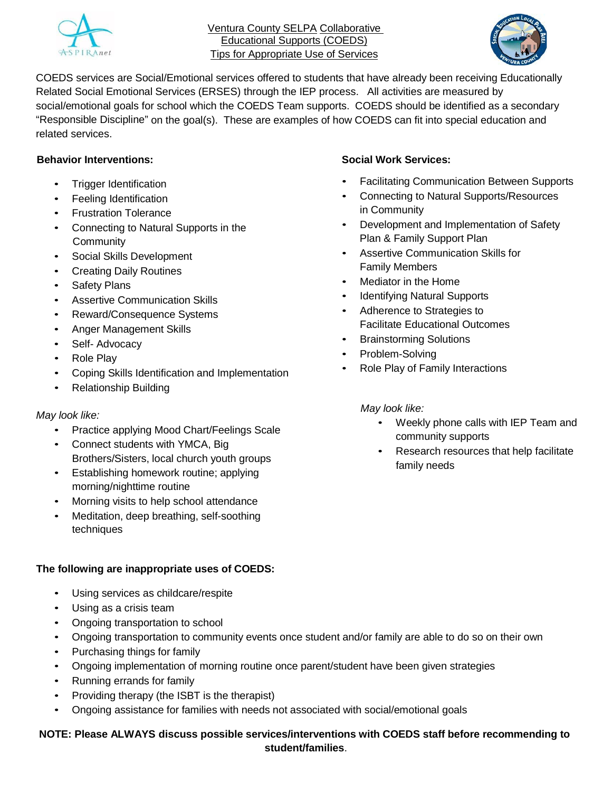

Ventura County SELPA Collaborative Educational Supports (COEDS) Tips for Appropriate Use of Services



COEDS services are Social/Emotional services offered to students that have already been receiving Educationally Related Social Emotional Services (ERSES) through the IEP process. All activities are measured by social/emotional goals for school which the COEDS Team supports. COEDS should be identified as a secondary "Responsible Discipline" on the goal(s). These are examples of how COEDS can fit into special education and related services.

## **Behavior Interventions:**

- Trigger Identification
- Feeling Identification
- Frustration Tolerance
- Connecting to Natural Supports in the **Community**
- Social Skills Development
- **Creating Daily Routines**
- Safety Plans
- Assertive Communication Skills
- Reward/Consequence Systems
- Anger Management Skills
- Self- Advocacy
- Role Play
- Coping Skills Identification and Implementation
- Relationship Building

### *May look like:*

- Practice applying Mood Chart/Feelings Scale
- Connect students with YMCA, Big Brothers/Sisters, local church youth groups
- Establishing homework routine; applying morning/nighttime routine
- Morning visits to help school attendance
- Meditation, deep breathing, self-soothing techniques

### **The following are inappropriate uses of COEDS:**

- Using services as childcare/respite
- Using as a crisis team
- Ongoing transportation to school
- Ongoing transportation to community events once student and/or family are able to do so on their own
- Purchasing things for family
- Ongoing implementation of morning routine once parent/student have been given strategies
- Running errands for family
- Providing therapy (the ISBT is the therapist)
- Ongoing assistance for families with needs not associated with social/emotional goals

## **NOTE: Please ALWAYS discuss possible services/interventions with COEDS staff before recommending to student/families**.

### **Social Work Services:**

- Facilitating Communication Between Supports
- Connecting to Natural Supports/Resources in Community
- Development and Implementation of Safety Plan & Family Support Plan
- Assertive Communication Skills for Family Members
- Mediator in the Home
- **Identifying Natural Supports**
- Adherence to Strategies to Facilitate Educational Outcomes
- Brainstorming Solutions
- Problem-Solving
- Role Play of Family Interactions

### *May look like:*

- Weekly phone calls with IEP Team and community supports
- Research resources that help facilitate family needs